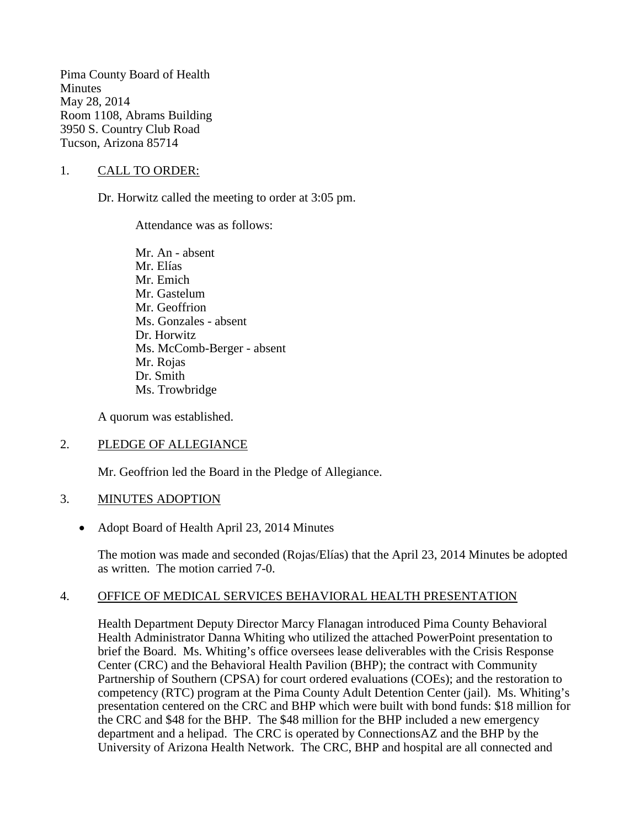Pima County Board of Health **Minutes** May 28, 2014 Room 1108, Abrams Building 3950 S. Country Club Road Tucson, Arizona 85714

## 1. CALL TO ORDER:

Dr. Horwitz called the meeting to order at 3:05 pm.

Attendance was as follows:

Mr. An - absent Mr. Elías Mr. Emich Mr. Gastelum Mr. Geoffrion Ms. Gonzales - absent Dr. Horwitz Ms. McComb-Berger - absent Mr. Rojas Dr. Smith Ms. Trowbridge

A quorum was established.

## 2. PLEDGE OF ALLEGIANCE

Mr. Geoffrion led the Board in the Pledge of Allegiance.

## 3. MINUTES ADOPTION

• Adopt Board of Health April 23, 2014 Minutes

The motion was made and seconded (Rojas/Elías) that the April 23, 2014 Minutes be adopted as written. The motion carried 7-0.

## 4. OFFICE OF MEDICAL SERVICES BEHAVIORAL HEALTH PRESENTATION

Health Department Deputy Director Marcy Flanagan introduced Pima County Behavioral Health Administrator Danna Whiting who utilized the attached PowerPoint presentation to brief the Board. Ms. Whiting's office oversees lease deliverables with the Crisis Response Center (CRC) and the Behavioral Health Pavilion (BHP); the contract with Community Partnership of Southern (CPSA) for court ordered evaluations (COEs); and the restoration to competency (RTC) program at the Pima County Adult Detention Center (jail). Ms. Whiting's presentation centered on the CRC and BHP which were built with bond funds: \$18 million for the CRC and \$48 for the BHP. The \$48 million for the BHP included a new emergency department and a helipad. The CRC is operated by ConnectionsAZ and the BHP by the University of Arizona Health Network. The CRC, BHP and hospital are all connected and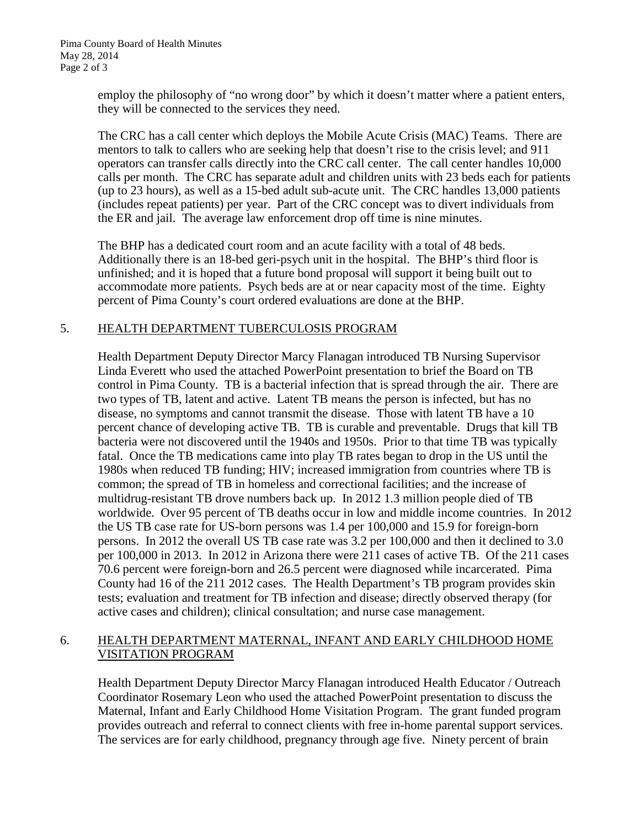employ the philosophy of "no wrong door" by which it doesn't matter where a patient enters, they will be connected to the services they need.

The CRC has a call center which deploys the Mobile Acute Crisis (MAC) Teams. There are mentors to talk to callers who are seeking help that doesn't rise to the crisis level; and 911 operators can transfer calls directly into the CRC call center. The call center handles 10,000 calls per month. The CRC has separate adult and children units with 23 beds each for patients (up to 23 hours), as well as a 15-bed adult sub-acute unit. The CRC handles 13,000 patients (includes repeat patients) per year. Part of the CRC concept was to divert individuals from the ER and jail. The average law enforcement drop off time is nine minutes.

The BHP has a dedicated court room and an acute facility with a total of 48 beds. Additionally there is an 18-bed geri-psych unit in the hospital. The BHP's third floor is unfinished; and it is hoped that a future bond proposal will support it being built out to accommodate more patients. Psych beds are at or near capacity most of the time. Eighty percent of Pima County's court ordered evaluations are done at the BHP.

## 5. HEALTH DEPARTMENT TUBERCULOSIS PROGRAM

Health Department Deputy Director Marcy Flanagan introduced TB Nursing Supervisor Linda Everett who used the attached PowerPoint presentation to brief the Board on TB control in Pima County. TB is a bacterial infection that is spread through the air. There are two types of TB, latent and active. Latent TB means the person is infected, but has no disease, no symptoms and cannot transmit the disease. Those with latent TB have a 10 percent chance of developing active TB. TB is curable and preventable. Drugs that kill TB bacteria were not discovered until the 1940s and 1950s. Prior to that time TB was typically fatal. Once the TB medications came into play TB rates began to drop in the US until the 1980s when reduced TB funding; HIV; increased immigration from countries where TB is common; the spread of TB in homeless and correctional facilities; and the increase of multidrug-resistant TB drove numbers back up. In 2012 1.3 million people died of TB worldwide. Over 95 percent of TB deaths occur in low and middle income countries. In 2012 the US TB case rate for US-born persons was 1.4 per 100,000 and 15.9 for foreign-born persons. In 2012 the overall US TB case rate was 3.2 per 100,000 and then it declined to 3.0 per 100,000 in 2013. In 2012 in Arizona there were 211 cases of active TB. Of the 211 cases 70.6 percent were foreign-born and 26.5 percent were diagnosed while incarcerated. Pima County had 16 of the 211 2012 cases. The Health Department's TB program provides skin tests; evaluation and treatment for TB infection and disease; directly observed therapy (for active cases and children); clinical consultation; and nurse case management.

## 6. HEALTH DEPARTMENT MATERNAL, INFANT AND EARLY CHILDHOOD HOME VISITATION PROGRAM

Health Department Deputy Director Marcy Flanagan introduced Health Educator / Outreach Coordinator Rosemary Leon who used the attached PowerPoint presentation to discuss the Maternal, Infant and Early Childhood Home Visitation Program. The grant funded program provides outreach and referral to connect clients with free in-home parental support services. The services are for early childhood, pregnancy through age five. Ninety percent of brain